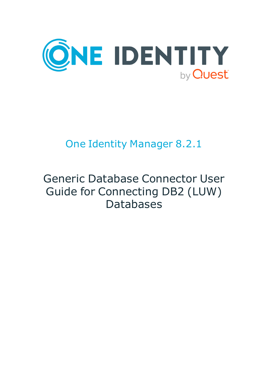

# One Identity Manager 8.2.1

# Generic Database Connector User Guide for Connecting DB2 (LUW) Databases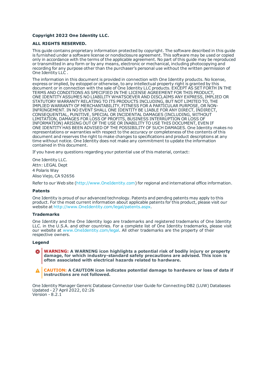#### **Copyright 2022 One Identity LLC.**

#### **ALL RIGHTS RESERVED.**

This guide contains proprietary information protected by copyright. The software described in this guide is furnished under a software license or nondisclosure agreement. This software may be used or copied only in accordance with the terms of the applicable agreement. No part of this guide may be reproduced or transmitted in any form or by any means, electronic or mechanical, including photocopying and recording for any purpose other than the purchaser's personal use without the written permission of One Identity LLC .

The information in this document is provided in connection with One Identity products. No license, express or implied, by estoppel or otherwise, to any intellectual property right is granted by this document or in connection with the sale of One Identity LLC products. EXCEPT AS SET FORTH IN THE TERMS AND CONDITIONS AS SPECIFIED IN THE LICENSE AGREEMENT FOR THIS PRODUCT, ONE IDENTITY ASSUMES NO LIABILITY WHATSOEVER AND DISCLAIMS ANY EXPRESS, IMPLIED OR STATUTORY WARRANTY RELATING TO ITS PRODUCTS INCLUDING, BUT NOT LIMITED TO, THE IMPLIED WARRANTY OF MERCHANTABILITY, FITNESS FOR A PARTICULAR PURPOSE, OR NON-INFRINGEMENT. IN NO EVENT SHALL ONE IDENTITY BE LIABLE FOR ANY DIRECT, INDIRECT, CONSEQUENTIAL, PUNITIVE, SPECIAL OR INCIDENTAL DAMAGES (INCLUDING, WITHOUT LIMITATION, DAMAGES FOR LOSS OF PROFITS, BUSINESS INTERRUPTION OR LOSS OF INFORMATION) ARISING OUT OF THE USE OR INABILITY TO USE THIS DOCUMENT, EVEN IF ONE IDENTITY HAS BEEN ADVISED OF THE POSSIBILITY OF SUCH DAMAGES. One Identity makes no representations or warranties with respect to the accuracy or completeness of the contents of this document and reserves the right to make changes to specifications and product descriptions at any time without notice. One Identity does not make any commitment to update the information contained in this document.

If you have any questions regarding your potential use of this material, contact:

One Identity LLC. Attn: LEGAL Dept 4 Polaris Way Aliso Viejo, CA 92656

Refer to our Web site ([http://www.OneIdentity.com](http://www.oneidentity.com/)) for regional and international office information.

#### **Patents**

One Identity is proud of our advanced technology. Patents and pending patents may apply to this product. For the most current information about applicable patents for this product, please visit our website at [http://www.OneIdentity.com/legal/patents.aspx](http://www.oneidentity.com/legal/patents.aspx).

#### **Trademarks**

One Identity and the One Identity logo are trademarks and registered trademarks of One Identity LLC. in the U.S.A. and other countries. For a complete list of One Identity trademarks, please visit our website at [www.OneIdentity.com/legal](http://www.oneidentity.com/legal). All other trademarks are the property of their respective owners.

#### **Legend**

- **WARNING: A WARNING icon highlights a potential risk of bodily injury or property damage, for which industry-standard safety precautions are advised. This icon is often associated with electrical hazards related to hardware.**
- **CAUTION: A CAUTION icon indicates potential damage to hardware or loss of data if** A **instructions are not followed.**

One Identity Manager Generic Database Connector User Guide for Connecting DB2 (LUW) Databases Updated - 27 April 2022, 02:26 Version - 8.2.1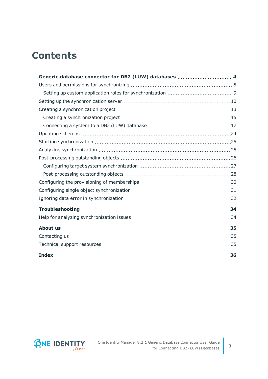## **Contents**

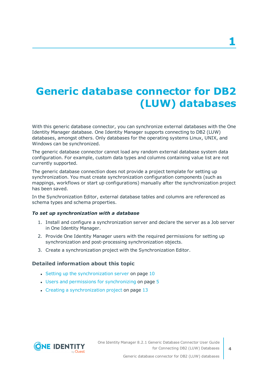# <span id="page-3-0"></span>**Generic database connector for DB2 (LUW) databases**

With this generic database connector, you can synchronize external databases with the One Identity Manager database. One Identity Manager supports connecting to DB2 (LUW) databases, amongst others. Only databases for the operating systems Linux, UNIX, and Windows can be synchronized.

The generic database connector cannot load any random external database system data configuration. For example, custom data types and columns containing value list are not currently supported.

The generic database connection does not provide a project template for setting up synchronization. You must create synchronization configuration components (such as mappings, workflows or start up configurations) manually after the synchronization project has been saved.

In the Synchronization Editor, external database tables and columns are referenced as schema types and schema properties.

#### *To set up synchronization with a database*

- 1. Install and configure a synchronization server and declare the server as a Job server in One Identity Manager.
- 2. Provide One Identity Manager users with the required permissions for setting up synchronization and post-processing synchronization objects.
- 3. Create a synchronization project with the Synchronization Editor.

#### **Detailed information about this topic**

- $\cdot$  Setting up the [synchronization](#page-9-0) server on page 10
- $\cdot$  Users and permissions for [synchronizing](#page-4-0) on page  $5$
- $\cdot$  Creating a [synchronization](#page-12-0) project on page 13

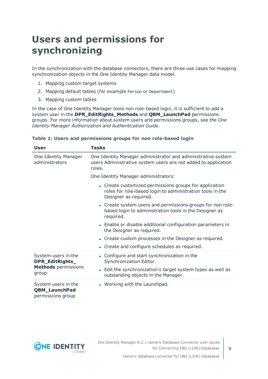## <span id="page-4-0"></span>**Users and permissions for synchronizing**

In the synchronization with the database connectors, there are three use cases for mapping synchronization objects in the One Identity Manager data model.

- 1. Mapping custom target systems
- 2. Mapping default tables (for example Person or Department)
- 3. Mapping custom tables

In the case of One Identity Manager tools non role-based login, it is sufficient to add a system user in the **DPR\_EditRights\_Methods** and **QBM\_LaunchPad** permissions groups. For more information about system users and permissions groups, see the *One Identity Manager Authorization and Authentication Guide*.

| User                                                             | Tasks                                                                                                                                        |  |  |  |  |
|------------------------------------------------------------------|----------------------------------------------------------------------------------------------------------------------------------------------|--|--|--|--|
| One Identity Manager<br>administrators                           | One Identity Manager administrator and administrative system<br>users Administrative system users are not added to application<br>roles.     |  |  |  |  |
|                                                                  | One Identity Manager administrators:                                                                                                         |  |  |  |  |
|                                                                  | • Create customized permissions groups for application<br>roles for role-based login to administration tools in the<br>Designer as required. |  |  |  |  |
|                                                                  | • Create system users and permissions groups for non role-<br>based login to administration tools in the Designer as<br>required.            |  |  |  |  |
|                                                                  | • Enable or disable additional configuration parameters in<br>the Designer as required.                                                      |  |  |  |  |
|                                                                  | • Create custom processes in the Designer as required.                                                                                       |  |  |  |  |
|                                                                  | • Create and configure schedules as required.                                                                                                |  |  |  |  |
| System users in the<br>DPR_EditRights_                           | • Configure and start synchronization in the<br>Synchronization Editor.                                                                      |  |  |  |  |
| <b>Methods</b> permissions<br>group                              | • Edit the synchronization's target system types as well as<br>outstanding objects in the Manager.                                           |  |  |  |  |
| System users in the<br><b>QBM_LaunchPad</b><br>permissions group | • Working with the Launchpad.                                                                                                                |  |  |  |  |

#### **Table 1: Users and permissions groups for non role-based login**

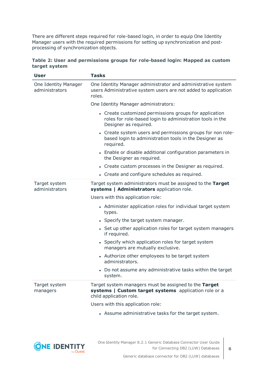There are different steps required for role-based login, in order to equip One Identity Manager users with the required permissions for setting up synchronization and postprocessing of synchronization objects.

|               | Table 2: User and permissions groups for role-based login: Mapped as custom |  |  |  |
|---------------|-----------------------------------------------------------------------------|--|--|--|
| target system |                                                                             |  |  |  |

| <b>User</b>                            | <b>Tasks</b>                                                                                                                                 |  |  |
|----------------------------------------|----------------------------------------------------------------------------------------------------------------------------------------------|--|--|
| One Identity Manager<br>administrators | One Identity Manager administrator and administrative system<br>users Administrative system users are not added to application<br>roles.     |  |  |
|                                        | One Identity Manager administrators:                                                                                                         |  |  |
|                                        | • Create customized permissions groups for application<br>roles for role-based login to administration tools in the<br>Designer as required. |  |  |
|                                        | • Create system users and permissions groups for non role-<br>based login to administration tools in the Designer as<br>required.            |  |  |
|                                        | • Enable or disable additional configuration parameters in<br>the Designer as required.                                                      |  |  |
|                                        | • Create custom processes in the Designer as required.                                                                                       |  |  |
|                                        | • Create and configure schedules as required.                                                                                                |  |  |
| Target system<br>administrators        | Target system administrators must be assigned to the Target<br>systems   Administrators application role.                                    |  |  |
|                                        | Users with this application role:                                                                                                            |  |  |
|                                        | • Administer application roles for individual target system<br>types.                                                                        |  |  |
|                                        | • Specify the target system manager.                                                                                                         |  |  |
|                                        | • Set up other application roles for target system managers<br>if required.                                                                  |  |  |
|                                        | • Specify which application roles for target system<br>managers are mutually exclusive.                                                      |  |  |
|                                        | • Authorize other employees to be target system<br>administrators.                                                                           |  |  |
|                                        | • Do not assume any administrative tasks within the target<br>system.                                                                        |  |  |
| Target system<br>managers              | Target system managers must be assigned to the Target<br>systems   Custom target systems application role or a<br>child application role.    |  |  |
|                                        | Users with this application role:                                                                                                            |  |  |
|                                        | • Assume administrative tasks for the target system.                                                                                         |  |  |



**6**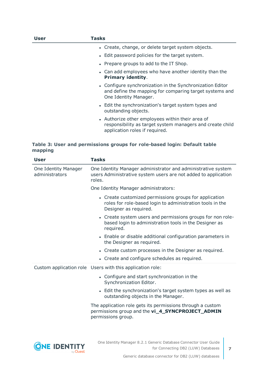| User | Tasks                                                                                                                                           |
|------|-------------------------------------------------------------------------------------------------------------------------------------------------|
|      | • Create, change, or delete target system objects.                                                                                              |
|      | • Edit password policies for the target system.                                                                                                 |
|      | • Prepare groups to add to the IT Shop.                                                                                                         |
|      | • Can add employees who have another identity than the<br><b>Primary identity.</b>                                                              |
|      | • Configure synchronization in the Synchronization Editor<br>and define the mapping for comparing target systems and<br>One Identity Manager.   |
|      | • Edit the synchronization's target system types and<br>outstanding objects.                                                                    |
|      | • Authorize other employees within their area of<br>responsibility as target system managers and create child<br>application roles if required. |

#### **Table 3: User and permissions groups for role-based login: Default table mapping**

| <b>User</b>                            | <b>Tasks</b>                                                                                                                                 |
|----------------------------------------|----------------------------------------------------------------------------------------------------------------------------------------------|
| One Identity Manager<br>administrators | One Identity Manager administrator and administrative system<br>users Administrative system users are not added to application<br>roles.     |
|                                        | One Identity Manager administrators:                                                                                                         |
|                                        | • Create customized permissions groups for application<br>roles for role-based login to administration tools in the<br>Designer as required. |
|                                        | • Create system users and permissions groups for non role-<br>based login to administration tools in the Designer as<br>required.            |
|                                        | • Enable or disable additional configuration parameters in<br>the Designer as required.                                                      |
|                                        | • Create custom processes in the Designer as required.                                                                                       |
|                                        | • Create and configure schedules as required.                                                                                                |
|                                        | Custom application role Users with this application role:                                                                                    |
|                                        | • Configure and start synchronization in the<br>Synchronization Editor.                                                                      |
|                                        | • Edit the synchronization's target system types as well as<br>outstanding objects in the Manager.                                           |
|                                        | The application role gets its permissions through a custom<br>permissions group and the vi_4_SYNCPROJECT_ADMIN<br>permissions group.         |
|                                        |                                                                                                                                              |

**ONE IDENTITY** 

Generic database connector for DB2 (LUW) databases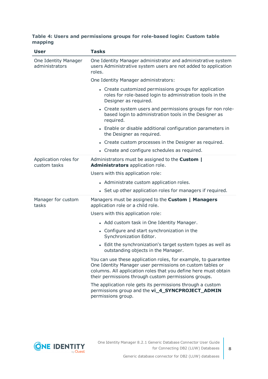#### **Table 4: Users and permissions groups for role-based login: Custom table mapping**

| <b>User</b>                            | <b>Tasks</b>                                                                                                                                                                                                                                           |  |  |  |  |  |
|----------------------------------------|--------------------------------------------------------------------------------------------------------------------------------------------------------------------------------------------------------------------------------------------------------|--|--|--|--|--|
| One Identity Manager<br>administrators | One Identity Manager administrator and administrative system<br>users Administrative system users are not added to application<br>roles.                                                                                                               |  |  |  |  |  |
|                                        | One Identity Manager administrators:                                                                                                                                                                                                                   |  |  |  |  |  |
|                                        | • Create customized permissions groups for application<br>roles for role-based login to administration tools in the<br>Designer as required.                                                                                                           |  |  |  |  |  |
|                                        | • Create system users and permissions groups for non role-<br>based login to administration tools in the Designer as<br>required.                                                                                                                      |  |  |  |  |  |
|                                        | • Enable or disable additional configuration parameters in<br>the Designer as required.                                                                                                                                                                |  |  |  |  |  |
|                                        | • Create custom processes in the Designer as required.                                                                                                                                                                                                 |  |  |  |  |  |
|                                        | • Create and configure schedules as required.                                                                                                                                                                                                          |  |  |  |  |  |
| Application roles for<br>custom tasks  | Administrators must be assigned to the <b>Custom</b>  <br>Administrators application role.                                                                                                                                                             |  |  |  |  |  |
|                                        | Users with this application role:                                                                                                                                                                                                                      |  |  |  |  |  |
|                                        | • Administrate custom application roles.                                                                                                                                                                                                               |  |  |  |  |  |
|                                        | • Set up other application roles for managers if required.                                                                                                                                                                                             |  |  |  |  |  |
| Manager for custom<br>tasks            | Managers must be assigned to the Custom   Managers<br>application role or a child role.                                                                                                                                                                |  |  |  |  |  |
|                                        | Users with this application role:                                                                                                                                                                                                                      |  |  |  |  |  |
|                                        | • Add custom task in One Identity Manager.                                                                                                                                                                                                             |  |  |  |  |  |
|                                        | • Configure and start synchronization in the<br>Synchronization Editor.                                                                                                                                                                                |  |  |  |  |  |
|                                        | • Edit the synchronization's target system types as well as<br>outstanding objects in the Manager.                                                                                                                                                     |  |  |  |  |  |
|                                        | You can use these application roles, for example, to guarantee<br>One Identity Manager user permissions on custom tables or<br>columns. All application roles that you define here must obtain<br>their permissions through custom permissions groups. |  |  |  |  |  |
|                                        | The application role gets its permissions through a custom<br>permissions group and the vi_4_SYNCPROJECT_ADMIN<br>permissions group.                                                                                                                   |  |  |  |  |  |

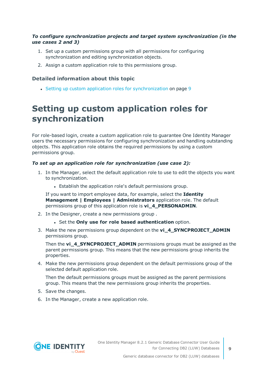#### *To configure synchronization projects and target system synchronization (in the use cases 2 and 3)*

- 1. Set up a custom permissions group with all permissions for configuring synchronization and editing synchronization objects.
- 2. Assign a custom application role to this permissions group.

#### **Detailed information about this topic**

• Setting up custom application roles for [synchronization](#page-8-0) on page 9

### <span id="page-8-0"></span>**Setting up custom application roles for synchronization**

For role-based login, create a custom application role to guarantee One Identity Manager users the necessary permissions for configuring synchronization and handling outstanding objects. This application role obtains the required permissions by using a custom permissions group.

#### *To set up an application role for synchronization (use case 2):*

- 1. In the Manager, select the default application role to use to edit the objects you want to synchronization.
	- Establish the application role's default permissions group.

If you want to import employee data, for example, select the **Identity Management | Employees | Administrators** application role. The default permissions group of this application role is **vi\_4\_PERSONADMIN**.

- 2. In the Designer, create a new permissions group .
	- <sup>l</sup> Set the **Only use for role based authentication** option.
- 3. Make the new permissions group dependent on the **vi\_4\_SYNCPROJECT\_ADMIN** permissions group.

Then the **vi\_4\_SYNCPROJECT\_ADMIN** permissions groups must be assigned as the parent permissions group. This means that the new permissions group inherits the properties.

4. Make the new permissions group dependent on the default permissions group of the selected default application role.

Then the default permissions groups must be assigned as the parent permissions group. This means that the new permissions group inherits the properties.

- 5. Save the changes.
- 6. In the Manager, create a new application role.

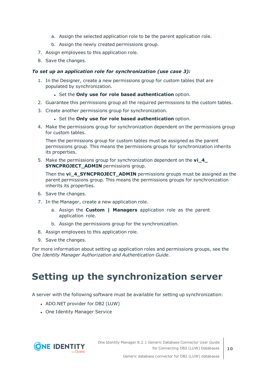- a. Assign the selected application role to be the parent application role.
- b. Assign the newly created permissions group.
- 7. Assign employees to this application role.
- 8. Save the changes.

#### *To set up an application role for synchronization (use case 3):*

- 1. In the Designer, create a new permissions group for custom tables that are populated by synchronization.
	- <sup>l</sup> Set the **Only use for role based authentication** option.
- 2. Guarantee this permissions group all the required permissions to the custom tables.
- 3. Create another permissions group for synchronization.
	- <sup>l</sup> Set the **Only use for role based authentication** option.
- 4. Make the permissions group for synchronization dependent on the permissions group for custom tables.

Then the permissions group for custom tables must be assigned as the parent permissions group. This means the permissions groups for synchronization inherits its properties.

5. Make the permissions group for synchronization dependent on the **vi\_4\_ SYNCPROJECT\_ADMIN** permissions group.

Then the **vi\_4\_SYNCPROJECT\_ADMIN** permissions groups must be assigned as the parent permissions group. This means the permissions groups for synchronization inherits its properties.

- 6. Save the changes.
- 7. In the Manager, create a new application role.
	- a. Assign the **Custom | Managers** application role as the parent application role.
	- b. Assign the permissions group for the synchronization.
- 8. Assign employees to this application role.
- 9. Save the changes.

For more information about setting up application roles and permissions groups, see the *One Identity Manager Authorization and Authentication Guide*.

## <span id="page-9-0"></span>**Setting up the synchronization server**

A server with the following software must be available for setting up synchronization:

- ADO.NET provider for DB2 (LUW)
- One Identity Manager Service

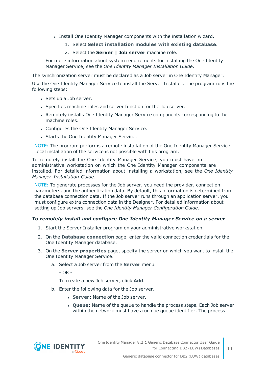- Install One Identity Manager components with the installation wizard.
	- 1. Select **Select installation modules with existing database**.
	- 2. Select the **Server | Job server** machine role.

For more information about system requirements for installing the One Identity Manager Service, see the *One Identity Manager Installation Guide*.

The synchronization server must be declared as a Job server in One Identity Manager.

Use the One Identity Manager Service to install the Server Installer. The program runs the following steps:

- Sets up a Job server.
- Specifies machine roles and server function for the Job server.
- Remotely installs One Identity Manager Service components corresponding to the machine roles.
- Configures the One Identity Manager Service.
- Starts the One Identity Manager Service.

NOTE: The program performs a remote installation of the One Identity Manager Service. Local installation of the service is not possible with this program.

To remotely install the One Identity Manager Service, you must have an administrative workstation on which the One Identity Manager components are installed. For detailed information about installing a workstation, see the *One Identity Manager Installation Guide*.

NOTE: To generate processes for the Job server, you need the provider, connection parameters, and the authentication data. By default, this information is determined from the database connection data. If the Job server runs through an application server, you must configure extra connection data in the Designer. For detailed information about setting up Job servers, see the *One Identity Manager Configuration Guide*.

#### *To remotely install and configure One Identity Manager Service on a server*

- 1. Start the Server Installer program on your administrative workstation.
- 2. On the **Database connection** page, enter the valid connection credentials for the One Identity Manager database.
- 3. On the **Server properties** page, specify the server on which you want to install the One Identity Manager Service.
	- a. Select a Job server from the **Server** menu.

- OR -

To create a new Job server, click **Add**.

- b. Enter the following data for the Job server.
	- **Server:** Name of the Job server.
	- <sup>l</sup> **Queue**: Name of the queue to handle the process steps. Each Job server within the network must have a unique queue identifier. The process

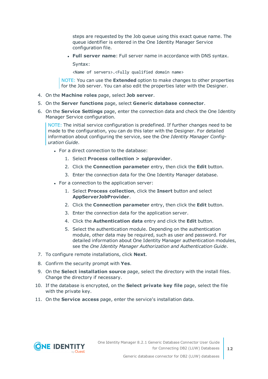steps are requested by the Job queue using this exact queue name. The queue identifier is entered in the One Identity Manager Service configuration file.

<sup>l</sup> **Full server name**: Full server name in accordance with DNS syntax.

Syntax:

<Name of servers>.<Fully qualified domain name>

NOTE: You can use the **Extended** option to make changes to other properties for the Job server. You can also edit the properties later with the Designer.

- 4. On the **Machine roles** page, select **Job server**.
- 5. On the **Server functions** page, select **Generic database connector**.
- 6. On the **Service Settings** page, enter the connection data and check the One Identity Manager Service configuration.

NOTE: The initial service configuration is predefined. If further changes need to be made to the configuration, you can do this later with the Designer. For detailed information about configuring the service, see the *One Identity Manager Configuration Guide*.

- For a direct connection to the database:
	- 1. Select **Process collection > sqlprovider**.
	- 2. Click the **Connection parameter** entry, then click the **Edit** button.
	- 3. Enter the connection data for the One Identity Manager database.
- For a connection to the application server:
	- 1. Select **Process collection**, click the **Insert** button and select **AppServerJobProvider**.
	- 2. Click the **Connection parameter** entry, then click the **Edit** button.
	- 3. Enter the connection data for the application server.
	- 4. Click the **Authentication data** entry and click the **Edit** button.
	- 5. Select the authentication module. Depending on the authentication module, other data may be required, such as user and password. For detailed information about One Identity Manager authentication modules, see the *One Identity Manager Authorization and Authentication Guide*.
- 7. To configure remote installations, click **Next**.
- 8. Confirm the security prompt with **Yes**.
- 9. On the **Select installation source** page, select the directory with the install files. Change the directory if necessary.
- 10. If the database is encrypted, on the **Select private key file** page, select the file with the private key.
- 11. On the **Service access** page, enter the service's installation data.

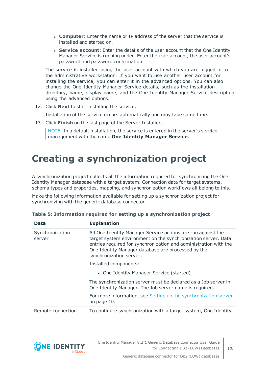- **Computer**: Enter the name or IP address of the server that the service is installed and started on.
- **. Service account:** Enter the details of the user account that the One Identity Manager Service is running under. Enter the user account, the user account's password and password confirmation.

The service is installed using the user account with which you are logged in to the administrative workstation. If you want to use another user account for installing the service, you can enter it in the advanced options. You can also change the One Identity Manager Service details, such as the installation directory, name, display name, and the One Identity Manager Service description, using the advanced options.

12. Click **Next** to start installing the service.

Installation of the service occurs automatically and may take some time.

13. Click **Finish** on the last page of the Server Installer.

NOTE: In a default installation, the service is entered in the server's service management with the name **One Identity Manager Service**.

## <span id="page-12-0"></span>**Creating a synchronization project**

A synchronization project collects all the information required for synchronizing the One Identity Manager database with a target system. Connection data for target systems, schema types and properties, mapping, and synchronization workflows all belong to this.

Make the following information available for setting up a synchronization project for synchronizing with the generic database connector.

| Data                      | <b>Explanation</b>                                                                                                                                                                                                                                                                 |  |  |
|---------------------------|------------------------------------------------------------------------------------------------------------------------------------------------------------------------------------------------------------------------------------------------------------------------------------|--|--|
| Synchronization<br>server | All One Identity Manager Service actions are run against the<br>target system environment on the synchronization server. Data<br>entries required for synchronization and administration with the<br>One Identity Manager database are processed by the<br>synchronization server. |  |  |
|                           | Installed components:                                                                                                                                                                                                                                                              |  |  |
|                           | • One Identity Manager Service (started)                                                                                                                                                                                                                                           |  |  |
|                           | The synchronization server must be declared as a Job server in<br>One Identity Manager. The Job server name is required.                                                                                                                                                           |  |  |
|                           | For more information, see Setting up the synchronization server<br>on page 10.                                                                                                                                                                                                     |  |  |
| Remote connection         | To configure synchronization with a target system, One Identity                                                                                                                                                                                                                    |  |  |

|  | Table 5: Information required for setting up a synchronization project |  |  |  |  |  |
|--|------------------------------------------------------------------------|--|--|--|--|--|
|  |                                                                        |  |  |  |  |  |

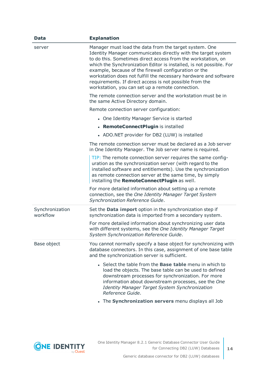| <b>Data</b>                 | <b>Explanation</b>                                                                                                                                                                                                                                                                                                                                                                                                                                                                                         |
|-----------------------------|------------------------------------------------------------------------------------------------------------------------------------------------------------------------------------------------------------------------------------------------------------------------------------------------------------------------------------------------------------------------------------------------------------------------------------------------------------------------------------------------------------|
| server                      | Manager must load the data from the target system. One<br>Identity Manager communicates directly with the target system<br>to do this. Sometimes direct access from the workstation, on<br>which the Synchronization Editor is installed, is not possible. For<br>example, because of the firewall configuration or the<br>workstation does not fulfill the necessary hardware and software<br>requirements. If direct access is not possible from the<br>workstation, you can set up a remote connection. |
|                             | The remote connection server and the workstation must be in<br>the same Active Directory domain.                                                                                                                                                                                                                                                                                                                                                                                                           |
|                             | Remote connection server configuration:                                                                                                                                                                                                                                                                                                                                                                                                                                                                    |
|                             | • One Identity Manager Service is started                                                                                                                                                                                                                                                                                                                                                                                                                                                                  |
|                             | • RemoteConnectPlugin is installed                                                                                                                                                                                                                                                                                                                                                                                                                                                                         |
|                             | • ADO.NET provider for DB2 (LUW) is installed                                                                                                                                                                                                                                                                                                                                                                                                                                                              |
|                             | The remote connection server must be declared as a Job server<br>in One Identity Manager. The Job server name is required.                                                                                                                                                                                                                                                                                                                                                                                 |
|                             | TIP: The remote connection server requires the same config-<br>uration as the synchronization server (with regard to the<br>installed software and entitlements). Use the synchronization<br>as remote connection server at the same time, by simply<br>installing the RemoteConnectPlugin as well.                                                                                                                                                                                                        |
|                             | For more detailed information about setting up a remote<br>connection, see the One Identity Manager Target System<br>Synchronization Reference Guide.                                                                                                                                                                                                                                                                                                                                                      |
| Synchronization<br>workflow | Set the <b>Data import</b> option in the synchronization step if<br>synchronization data is imported from a secondary system.                                                                                                                                                                                                                                                                                                                                                                              |
|                             | For more detailed information about synchronizing user data<br>with different systems, see the One Identity Manager Target<br>System Synchronization Reference Guide.                                                                                                                                                                                                                                                                                                                                      |
| Base object                 | You cannot normally specify a base object for synchronizing with<br>database connectors. In this case, assignment of one base table<br>and the synchronization server is sufficient.                                                                                                                                                                                                                                                                                                                       |
|                             | • Select the table from the <b>Base table</b> menu in which to<br>load the objects. The base table can be used to defined<br>downstream processes for synchronization. For more<br>information about downstream processes, see the One<br>Identity Manager Target System Synchronization<br>Reference Guide.                                                                                                                                                                                               |
|                             | The Synchronization servers menu displays all Job                                                                                                                                                                                                                                                                                                                                                                                                                                                          |

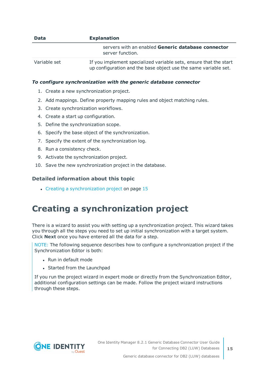| <b>Data</b>  | <b>Explanation</b>                                                                                                                   |
|--------------|--------------------------------------------------------------------------------------------------------------------------------------|
|              | servers with an enabled Generic database connector<br>server function.                                                               |
| Variable set | If you implement specialized variable sets, ensure that the start<br>up configuration and the base object use the same variable set. |

#### *To configure synchronization with the generic database connector*

- 1. Create a new synchronization project.
- 2. Add mappings. Define property mapping rules and object matching rules.
- 3. Create synchronization workflows.
- 4. Create a start up configuration.
- 5. Define the synchronization scope.
- 6. Specify the base object of the synchronization.
- 7. Specify the extent of the synchronization log.
- 8. Run a consistency check.
- 9. Activate the synchronization project.
- 10. Save the new synchronization project in the database.

#### **Detailed information about this topic**

 $\cdot$  Creating a [synchronization](#page-14-0) project on page 15

### <span id="page-14-0"></span>**Creating a synchronization project**

There is a wizard to assist you with setting up a synchronization project. This wizard takes you through all the steps you need to set up initial synchronization with a target system. Click **Next** once you have entered all the data for a step.

NOTE: The following sequence describes how to configure a synchronization project if the Synchronization Editor is both:

- . Run in default mode
- Started from the Launchpad

If you run the project wizard in expert mode or directly from the Synchronization Editor, additional configuration settings can be made. Follow the project wizard instructions through these steps.

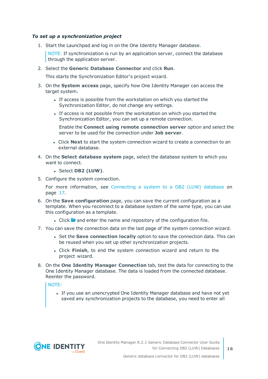#### *To set up a synchronization project*

1. Start the Launchpad and log in on the One Identity Manager database.

NOTE: If synchronization is run by an application server, connect the database through the application server.

2. Select the **Generic Database Connector** and click **Run**.

This starts the Synchronization Editor's project wizard.

- 3. On the **System access** page, specify how One Identity Manager can access the target system.
	- If access is possible from the workstation on which you started the Synchronization Editor, do not change any settings.
	- If access is not possible from the workstation on which you started the Synchronization Editor, you can set up a remote connection.

Enable the **Connect using remote connection server** option and select the server to be used for the connection under **Job server**.

- <sup>l</sup> Click **Next** to start the system connection wizard to create a connection to an external database.
- 4. On the **Select database system** page, select the database system to which you want to connect.
	- <sup>l</sup> Select **DB2 (LUW)**.
- 5. Configure the system connection.

For more [information,](#page-16-0) see Connecting a system to a DB2 (LUW) database on [page](#page-16-0) 17.

- 6. On the **Save configuration** page, you can save the current configuration as a template. When you reconnect to a database system of the same type, you can use this configuration as a template.
	- I Click **a** and enter the name and repository of the configuration file.
- 7. You can save the connection data on the last page of the system connection wizard.
	- <sup>l</sup> Set the **Save connection locally** option to save the connection data. This can be reused when you set up other synchronization projects.
	- <sup>l</sup> Click **Finish**, to end the system connection wizard and return to the project wizard.
- 8. On the **One Identity Manager Connection** tab, test the data for connecting to the One Identity Manager database. The data is loaded from the connected database. Reenter the password.

#### NOTE:

• If you use an unencrypted One Identity Manager database and have not yet saved any synchronization projects to the database, you need to enter all

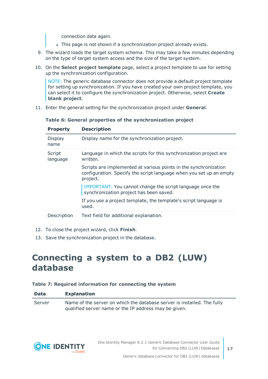connection data again.

- . This page is not shown if a synchronization project already exists.
- 9. The wizard loads the target system schema. This may take a few minutes depending on the type of target system access and the size of the target system.
- 10. On the **Select project template** page, select a project template to use for setting up the synchronization configuration.

NOTE: The generic database connector does not provide a default project template for setting up synchronization. If you have created your own project template, you can select it to configure the synchronization project. Otherwise, select **Create blank project**.

11. Enter the general setting for the synchronization project under **General**.

| <b>Property</b>    | <b>Description</b>                                                                                                                                  |
|--------------------|-----------------------------------------------------------------------------------------------------------------------------------------------------|
| Display<br>name    | Display name for the synchronization project.                                                                                                       |
| Script<br>language | Language in which the scripts for this synchronization project are<br>written.                                                                      |
|                    | Scripts are implemented at various points in the synchronization<br>configuration. Specify the script language when you set up an empty<br>project. |
|                    | IMPORTANT: You cannot change the script language once the<br>synchronization project has been saved.                                                |
|                    | If you use a project template, the template's script language is<br>used.                                                                           |
| Description        | Text field for additional explanation.                                                                                                              |

**Table 6: General properties of the synchronization project**

- 12. To close the project wizard, click **Finish**.
- <span id="page-16-0"></span>13. Save the synchronization project in the database.

### **Connecting a system to a DB2 (LUW) database**

#### **Table 7: Required information for connecting the system**

| <b>Data</b> | <b>Explanation</b>                                                                                                               |
|-------------|----------------------------------------------------------------------------------------------------------------------------------|
| Server      | Name of the server on which the database server is installed. The fully<br>qualified server name or the IP address may be given. |

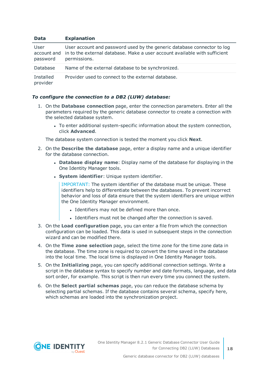#### **Data Explanation**

| User<br>password      | User account and password used by the generic database connector to log<br>account and in to the external database. Make a user account available with sufficient<br>permissions. |
|-----------------------|-----------------------------------------------------------------------------------------------------------------------------------------------------------------------------------|
| Database              | Name of the external database to be synchronized.                                                                                                                                 |
| Installed<br>provider | Provider used to connect to the external database.                                                                                                                                |

#### *To configure the connection to a DB2 (LUW) database:*

- 1. On the **Database connection** page, enter the connection parameters. Enter all the parameters required by the generic database connector to create a connection with the selected database system.
	- To enter additional system-specific information about the system connection, click **Advanced**.

The database system connection is tested the moment you click **Next**.

- 2. On the **Describe the database** page, enter a display name and a unique identifier for the database connection.
	- <sup>l</sup> **Database display name**: Display name of the database for displaying in the One Identity Manager tools.
	- **.** System *identifier*: Unique system identifier.

IMPORTANT: The system identifier of the database must be unique. These identifiers help to differentiate between the databases. To prevent incorrect behavior and loss of data ensure that the system identifiers are unique within the One Identity Manager environment.

- Identifiers may not be defined more than once.
- Identifiers must not be changed after the connection is saved.
- 3. On the **Load configuration** page, you can enter a file from which the connection configuration can be loaded. This data is used in subsequent steps in the connection wizard and can be modified there.
- 4. On the **Time zone selection** page, select the time zone for the time zone data in the database. The time zone is required to convert the time saved in the database into the local time. The local time is displayed in One Identity Manager tools.
- 5. On the **Initializing** page, you can specify additional connection settings. Write a script in the database syntax to specify number and date formats, language, and data sort order, for example. This script is then run every time you connect the system.
- 6. On the **Select partial schemas** page, you can reduce the database schema by selecting partial schemas. If the database contains several schema, specify here, which schemas are loaded into the synchronization project.

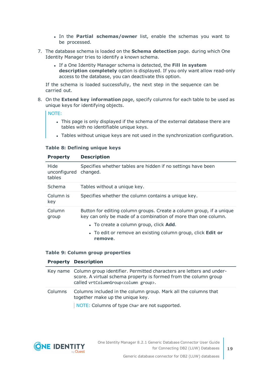- <sup>l</sup> In the **Partial schemas/owner** list, enable the schemas you want to be processed.
- 7. The database schema is loaded on the **Schema detection** page. during which One Identity Manager tries to identify a known schema.
	- <sup>l</sup> If a One Identity Manager schema is detected, the **Fill in system description completely** option is displayed. If you only want allow read-only access to the database, you can deactivate this option.

If the schema is loaded successfully, the next step in the sequence can be carried out.

8. On the **Extend key information** page, specify columns for each table to be used as unique keys for identifying objects.

NOTE:

- This page is only displayed if the schema of the external database there are tables with no identifiable unique keys.
- Tables without unique keys are not used in the synchronization configuration.

#### **Table 8: Defining unique keys**

| <b>Property</b>                | <b>Description</b>                                                                                                                     |  |  |  |  |
|--------------------------------|----------------------------------------------------------------------------------------------------------------------------------------|--|--|--|--|
| Hide<br>unconfigured<br>tables | Specifies whether tables are hidden if no settings have been<br>changed.                                                               |  |  |  |  |
| Schema                         | Tables without a unique key.                                                                                                           |  |  |  |  |
| Column is<br>key               | Specifies whether the column contains a unique key.                                                                                    |  |  |  |  |
| Column<br>group                | Button for editing column groups. Create a column group, if a unique<br>key can only be made of a combination of more than one column. |  |  |  |  |
|                                | • To create a column group, click <b>Add</b> .                                                                                         |  |  |  |  |
|                                | • To edit or remove an existing column group, click <b>Edit or</b><br>remove.                                                          |  |  |  |  |

#### **Table 9: Column group properties**

#### **Property Description**

|         | Key name Column group identifier. Permitted characters are letters and under-<br>score. A virtual schema property is formed from the column group<br>called vrtColumnGroup <column group="">.</column> |
|---------|--------------------------------------------------------------------------------------------------------------------------------------------------------------------------------------------------------|
| Columns | Columns included in the column group. Mark all the columns that<br>together make up the unique key.<br>NOTE: Columns of type Char are not supported.                                                   |

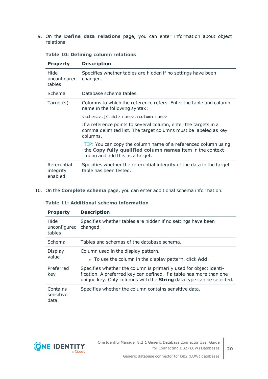9. On the **Define data relations** page, you can enter information about object relations.

| <b>Property</b>                     | <b>Description</b>                                                                                                                                            |
|-------------------------------------|---------------------------------------------------------------------------------------------------------------------------------------------------------------|
| Hide<br>unconfigured<br>tables      | Specifies whether tables are hidden if no settings have been<br>changed.                                                                                      |
| Schema                              | Database schema tables.                                                                                                                                       |
| Target(s)                           | Columns to which the reference refers. Enter the table and column<br>name in the following syntax:                                                            |
|                                     | <schema>.]<table name="">.<column name=""></column></table></schema>                                                                                          |
|                                     | If a reference points to several column, enter the targets in a<br>comma delimited list. The target columns must be labeled as key<br>columns.                |
|                                     | TIP: You can copy the column name of a referenced column using<br>the Copy fully qualified column names item in the context<br>menu and add this as a target. |
| Referential<br>integrity<br>enabled | Specifies whether the referential integrity of the data in the target<br>table has been tested.                                                               |

#### **Table 10: Defining column relations**

10. On the **Complete schema** page, you can enter additional schema information.

#### **Table 11: Additional schema information**

| <b>Property</b>                | <b>Description</b>                                                                                                                                                                                                     |
|--------------------------------|------------------------------------------------------------------------------------------------------------------------------------------------------------------------------------------------------------------------|
| Hide<br>unconfigured<br>tables | Specifies whether tables are hidden if no settings have been<br>changed.                                                                                                                                               |
| Schema                         | Tables and schemas of the database schema.                                                                                                                                                                             |
| Display<br>value               | Column used in the display pattern.<br>• To use the column in the display pattern, click <b>Add.</b>                                                                                                                   |
| Preferred<br>key               | Specifies whether the column is primarily used for object identi-<br>fication. A preferred key can defined, if a table has more than one<br>unique key. Only columns with the <b>String</b> data type can be selected. |
| Contains<br>sensitive<br>data  | Specifies whether the column contains sensitive data.                                                                                                                                                                  |

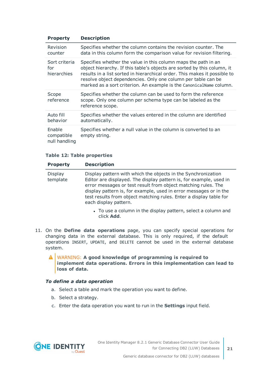| <b>Property</b>                       | <b>Description</b>                                                                                                                                                                                                                                                                                                                                             |
|---------------------------------------|----------------------------------------------------------------------------------------------------------------------------------------------------------------------------------------------------------------------------------------------------------------------------------------------------------------------------------------------------------------|
| Revision<br>counter                   | Specifies whether the column contains the revision counter. The<br>data in this column form the comparison value for revision filtering.                                                                                                                                                                                                                       |
| Sort criteria<br>for<br>hierarchies   | Specifies whether the value in this column maps the path in an<br>object hierarchy. If this table's objects are sorted by this column, it<br>results in a list sorted in hierarchical order. This makes it possible to<br>resolve object dependencies. Only one column per table can be<br>marked as a sort criterion. An example is the CanonicalName column. |
| Scope<br>reference                    | Specifies whether the column can be used to form the reference<br>scope. Only one column per schema type can be labeled as the<br>reference scope.                                                                                                                                                                                                             |
| Auto fill<br>behavior                 | Specifies whether the values entered in the column are identified<br>automatically.                                                                                                                                                                                                                                                                            |
| Enable<br>compatible<br>null handling | Specifies whether a null value in the column is converted to an<br>empty string.                                                                                                                                                                                                                                                                               |

#### **Table 12: Table properties**

| <b>Property</b>            | <b>Description</b>                                                                                                                                                                                                                                                                                                                                                       |
|----------------------------|--------------------------------------------------------------------------------------------------------------------------------------------------------------------------------------------------------------------------------------------------------------------------------------------------------------------------------------------------------------------------|
| <b>Display</b><br>template | Display pattern with which the objects in the Synchronization<br>Editor are displayed. The display pattern is, for example, used in<br>error messages or test result from object matching rules. The<br>display pattern is, for example, used in error messages or in the<br>test results from object matching rules. Enter a display table for<br>each display pattern. |
|                            | • To use a column in the display pattern, select a column and<br>click Add.                                                                                                                                                                                                                                                                                              |

11. On the **Define data operations** page, you can specify special operations for changing data in the external database. This is only required, if the default operations INSERT, UPDATE, and DELETE cannot be used in the external database system.

WARNING: **A good knowledge of programming is required to implement data operations. Errors in this implementation can lead to loss of data.**

#### *To define a data operation*

- a. Select a table and mark the operation you want to define.
- b. Select a strategy.
- c. Enter the data operation you want to run in the **Settings** input field.

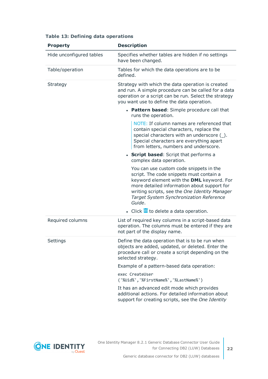| <b>Property</b>          | <b>Description</b>                                                                                                                                                                                                                                                                    |
|--------------------------|---------------------------------------------------------------------------------------------------------------------------------------------------------------------------------------------------------------------------------------------------------------------------------------|
| Hide unconfigured tables | Specifies whether tables are hidden if no settings<br>have been changed.                                                                                                                                                                                                              |
| Table/operation          | Tables for which the data operations are to be<br>defined.                                                                                                                                                                                                                            |
| Strategy                 | Strategy with which the data operation is created<br>and run. A simple procedure can be called for a data<br>operation or a script can be run. Select the strategy<br>you want use to define the data operation.                                                                      |
|                          | • Pattern based: Simple procedure call that<br>runs the operation.                                                                                                                                                                                                                    |
|                          | NOTE: If column names are referenced that<br>contain special characters, replace the<br>special characters with an underscore (_).<br>Special characters are everything apart<br>from letters, numbers and underscore.                                                                |
|                          | • Script based: Script that performs a<br>complex data operation.                                                                                                                                                                                                                     |
|                          | You can use custom code snippets in the<br>script. The code snippets must contain a<br>keyword element with the DML keyword. For<br>more detailed information about support for<br>writing scripts, see the One Identity Manager<br>Target System Synchronization Reference<br>Guide. |
|                          | $\bullet$ Click $\overline{\mathbb{II}}$ to delete a data operation.                                                                                                                                                                                                                  |
| Required columns         | List of required key columns in a script-based data<br>operation. The columns must be entered if they are<br>not part of the display name.                                                                                                                                            |
| Settings                 | Define the data operation that is to be run when<br>objects are added, updated, or deleted. Enter the<br>procedure call or create a script depending on the<br>selected strategy.                                                                                                     |
|                          | Example of a pattern-based data operation:                                                                                                                                                                                                                                            |
|                          | exec CreateUser<br>('%Uid%','%FirstName%','%LastName%')                                                                                                                                                                                                                               |
|                          | It has an advanced edit mode which provides<br>additional actions. For detailed information about<br>support for creating scripts, see the One Identity                                                                                                                               |

#### **Table 13: Defining data operations**

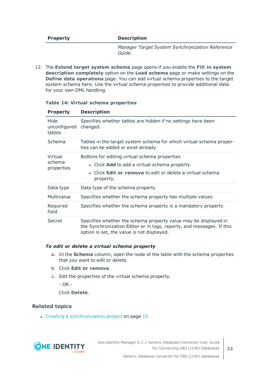#### **Property Description**

*Manager Target System Synchronization Reference Guide*.

12. The **Extend target system schema** page opens if you enable the **Fill in system description completely** option on the **Load schema** page or make settings on the **Define data operations** page. You can add virtual schema properties to the target system schema here. Use the virtual schema properties to provide additional data for your own DML handling.

| <b>Property</b>                 | <b>Description</b>                                                                                                                                                                     |
|---------------------------------|----------------------------------------------------------------------------------------------------------------------------------------------------------------------------------------|
| Hide<br>unconfigured<br>tables  | Specifies whether tables are hidden if no settings have been<br>changed.                                                                                                               |
| Schema                          | Tables in the target system schema for which virtual schema proper-<br>ties can be added or exist already.                                                                             |
| Virtual<br>schema<br>properties | Buttons for editing virtual schema properties<br>• Click Add to add a virtual schema property.<br>• Click Edit or remove to edit or delete a virtual schema<br>property.               |
| Data type                       | Data type of the schema property                                                                                                                                                       |
| Multivalue                      | Specifies whether the schema property has multiple values                                                                                                                              |
| Required<br>field               | Specifies whether the schema property is a mandatory property                                                                                                                          |
| Secret                          | Specifies whether the schema property value may be displayed in<br>the Synchronization Editor or in logs, reports, and messages. If this<br>option is set, the value is not displayed. |

#### **Table 14: Virtual schema properties**

#### *To edit or delete a virtual schema property*

- a. In the **Schema** column, open the node of the table with the schema properties that you want to edit or delete.
- b. Click **Edit or remove**.
- c. Edit the properties of the virtual schema property.

- OR -

Click **Delete**.

#### **Related topics**

• Creating a [synchronization](#page-14-0) project on page 15

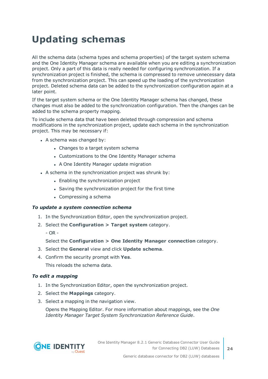## <span id="page-23-0"></span>**Updating schemas**

All the schema data (schema types and schema properties) of the target system schema and the One Identity Manager schema are available when you are editing a synchronization project. Only a part of this data is really needed for configuring synchronization. If a synchronization project is finished, the schema is compressed to remove unnecessary data from the synchronization project. This can speed up the loading of the synchronization project. Deleted schema data can be added to the synchronization configuration again at a later point.

If the target system schema or the One Identity Manager schema has changed, these changes must also be added to the synchronization configuration. Then the changes can be added to the schema property mapping.

To include schema data that have been deleted through compression and schema modifications in the synchronization project, update each schema in the synchronization project. This may be necessary if:

- $\bullet$  A schema was changed by:
	- Changes to a target system schema
	- Customizations to the One Identity Manager schema
	- A One Identity Manager update migration
- $\bullet$  A schema in the synchronization project was shrunk by:
	- Enabling the synchronization project
	- Saving the synchronization project for the first time
	- $\bullet$  Compressing a schema

#### *To update a system connection schema*

- 1. In the Synchronization Editor, open the synchronization project.
- 2. Select the **Configuration > Target system** category.
	- $-$  OR  $-$

Select the **Configuration > One Identity Manager connection** category.

- 3. Select the **General** view and click **Update schema**.
- 4. Confirm the security prompt with **Yes**.

This reloads the schema data.

#### *To edit a mapping*

- 1. In the Synchronization Editor, open the synchronization project.
- 2. Select the **Mappings** category.
- 3. Select a mapping in the navigation view.

Opens the Mapping Editor. For more information about mappings, see the *One Identity Manager Target System Synchronization Reference Guide*.

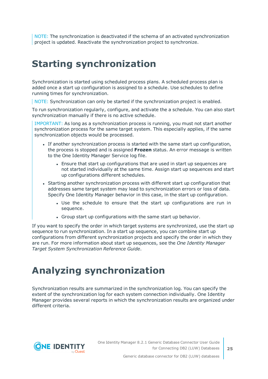NOTE: The synchronization is deactivated if the schema of an activated synchronization project is updated. Reactivate the synchronization project to synchronize.

# <span id="page-24-0"></span>**Starting synchronization**

Synchronization is started using scheduled process plans. A scheduled process plan is added once a start up configuration is assigned to a schedule. Use schedules to define running times for synchronization.

NOTE: Synchronization can only be started if the synchronization project is enabled.

To run synchronization regularly, configure, and activate the a schedule. You can also start synchronization manually if there is no active schedule.

IMPORTANT: As long as a synchronization process is running, you must not start another synchronization process for the same target system. This especially applies, if the same synchronization objects would be processed.

- If another synchronization process is started with the same start up configuration, the process is stopped and is assigned **Frozen** status. An error message is written to the One Identity Manager Service log file.
	- Ensure that start up configurations that are used in start up sequences are not started individually at the same time. Assign start up sequences and start up configurations different schedules.
- Starting another synchronization process with different start up configuration that addresses same target system may lead to synchronization errors or loss of data. Specify One Identity Manager behavior in this case, in the start up configuration.
	- Use the schedule to ensure that the start up configurations are run in sequence.
	- Group start up configurations with the same start up behavior.

If you want to specify the order in which target systems are synchronized, use the start up sequence to run synchronization. In a start up sequence, you can combine start up configurations from different synchronization projects and specify the order in which they are run. For more information about start up sequences, see the *One Identity Manager Target System Synchronization Reference Guide*.

## <span id="page-24-1"></span>**Analyzing synchronization**

Synchronization results are summarized in the synchronization log. You can specify the extent of the synchronization log for each system connection individually. One Identity Manager provides several reports in which the synchronization results are organized under different criteria.



**25**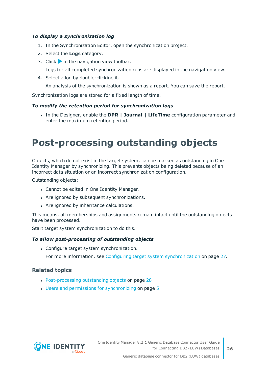#### *To display a synchronization log*

- 1. In the Synchronization Editor, open the synchronization project.
- 2. Select the **Logs** category.
- 3. Click in the navigation view toolbar.

Logs for all completed synchronization runs are displayed in the navigation view.

4. Select a log by double-clicking it.

An analysis of the synchronization is shown as a report. You can save the report.

Synchronization logs are stored for a fixed length of time.

#### *To modify the retention period for synchronization logs*

<sup>l</sup> In the Designer, enable the **DPR | Journal | LifeTime** configuration parameter and enter the maximum retention period.

## <span id="page-25-0"></span>**Post-processing outstanding objects**

Objects, which do not exist in the target system, can be marked as outstanding in One Identity Manager by synchronizing. This prevents objects being deleted because of an incorrect data situation or an incorrect synchronization configuration.

Outstanding objects:

- Cannot be edited in One Identity Manager.
- Are ignored by subsequent synchronizations.
- Are ignored by inheritance calculations.

This means, all memberships and assignments remain intact until the outstanding objects have been processed.

Start target system synchronization to do this.

#### *To allow post-processing of outstanding objects*

• Configure target system synchronization.

For more information, see Configuring target system [synchronization](#page-26-0) on page 27.

#### **Related topics**

- [Post-processing](#page-27-0) outstanding objects on page 28
- $\cdot$  Users and permissions for [synchronizing](#page-4-0) on page  $5$

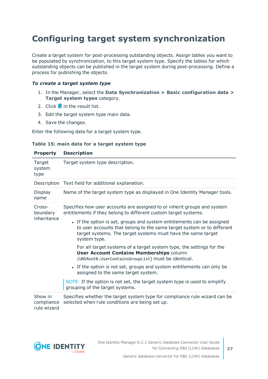### <span id="page-26-0"></span>**Configuring target system synchronization**

Create a target system for post-processing outstanding objects. Assign tables you want to be populated by synchronization, to this target system type. Specify the tables for which outstanding objects can be published in the target system during post-processing. Define a process for publishing the objects.

#### *To create a target system type*

- 1. In the Manager, select the **Data Synchronization > Basic configuration data > Target system types** category.
- 2. Click  $\frac{1}{2}$  in the result list.
- 3. Edit the target system type main data.
- 4. Save the changes.

Enter the following data for a target system type.

|  |  |  |  |  |  |  | Table 15: main data for a target system type |  |
|--|--|--|--|--|--|--|----------------------------------------------|--|
|--|--|--|--|--|--|--|----------------------------------------------|--|

| <b>Property</b>                      | <b>Description</b>                                                                                                                                                                                                               |  |  |  |  |
|--------------------------------------|----------------------------------------------------------------------------------------------------------------------------------------------------------------------------------------------------------------------------------|--|--|--|--|
| Target<br>system<br>type             | Target system type description.                                                                                                                                                                                                  |  |  |  |  |
|                                      | Description Text field for additional explanation.                                                                                                                                                                               |  |  |  |  |
| Display<br>name                      | Name of the target system type as displayed in One Identity Manager tools.                                                                                                                                                       |  |  |  |  |
| Cross-<br>boundary<br>inheritance    | Specifies how user accounts are assigned to or inherit groups and system<br>entitlements if they belong to different custom target systems.                                                                                      |  |  |  |  |
|                                      | • If the option is set, groups and system entitlements can be assigned<br>to user accounts that belong to the same target system or to different<br>target systems. The target systems must have the same target<br>system type. |  |  |  |  |
|                                      | For all target systems of a target system type, the settings for the<br><b>User Account Contains Memberships column</b><br>(UNSRootB.UserContainsGroupList) must be identical.                                                   |  |  |  |  |
|                                      | • If the option is not set, groups and system entitlements can only be<br>assigned to the same target system.                                                                                                                    |  |  |  |  |
|                                      | NOTE: If the option is not set, the target system type is used to simplify<br>grouping of the target systems.                                                                                                                    |  |  |  |  |
| Show in<br>compliance<br>rule wizard | Specifies whether the target system type for compliance rule wizard can be<br>selected when rule conditions are being set up.                                                                                                    |  |  |  |  |

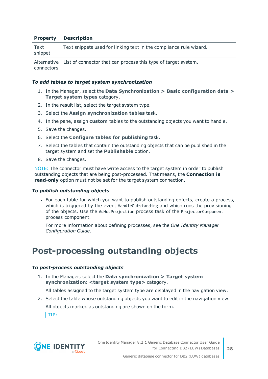#### **Property Description**

| Text    | Text snippets used for linking text in the compliance rule wizard. |
|---------|--------------------------------------------------------------------|
| snippet |                                                                    |
|         |                                                                    |

Alternative List of connector that can process this type of target system. connectors

#### *To add tables to target system synchronization*

- 1. In the Manager, select the **Data Synchronization > Basic configuration data > Target system types** category.
- 2. In the result list, select the target system type.
- 3. Select the **Assign synchronization tables** task.
- 4. In the pane, assign **custom** tables to the outstanding objects you want to handle.
- 5. Save the changes.
- 6. Select the **Configure tables for publishing** task.
- 7. Select the tables that contain the outstanding objects that can be published in the target system and set the **Publishable** option.
- 8. Save the changes.

NOTE: The connector must have write access to the target system in order to publish outstanding objects that are being post-processed. That means, the **Connection is read-only** option must not be set for the target system connection.

#### *To publish outstanding objects*

• For each table for which you want to publish outstanding objects, create a process, which is triggered by the event HandleOutstanding and which runs the provisioning of the objects. Use the AdHocProjection process task of the ProjectorComponent process component.

For more information about defining processes, see the *One Identity Manager Configuration Guide*.

### <span id="page-27-0"></span>**Post-processing outstanding objects**

#### *To post-process outstanding objects*

1. In the Manager, select the **Data synchronization > Target system synchronization: <target system type>** category.

All tables assigned to the target system type are displayed in the navigation view.

2. Select the table whose outstanding objects you want to edit in the navigation view. All objects marked as outstanding are shown on the form.

 $|TIP:$ 

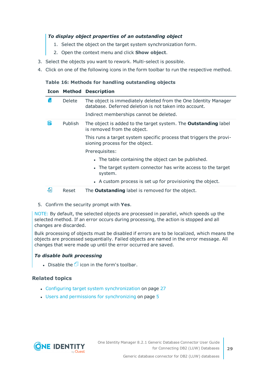#### *To display object properties of an outstanding object*

- 1. Select the object on the target system synchronization form.
- 2. Open the context menu and click **Show object**.
- 3. Select the objects you want to rework. Multi-select is possible.
- 4. Click on one of the following icons in the form toolbar to run the respective method.

#### **Table 16: Methods for handling outstanding objects**

#### **Icon Method Description**

| ľхl | <b>Delete</b>  | The object is immediately deleted from the One Identity Manager<br>database. Deferred deletion is not taken into account. |
|-----|----------------|---------------------------------------------------------------------------------------------------------------------------|
|     |                | Indirect memberships cannot be deleted.                                                                                   |
| 5   | <b>Publish</b> | The object is added to the target system. The <b>Outstanding</b> label<br>is removed from the object.                     |
|     |                | This runs a target system specific process that triggers the provi-<br>sioning process for the object.                    |
|     |                | Prerequisites:                                                                                                            |
|     |                | • The table containing the object can be published.                                                                       |
|     |                | • The target system connector has write access to the target<br>system.                                                   |
|     |                | • A custom process is set up for provisioning the object.                                                                 |
| 51  | Reset          | The <b>Outstanding</b> label is removed for the object.                                                                   |

5. Confirm the security prompt with **Yes**.

NOTE: By default, the selected objects are processed in parallel, which speeds up the selected method. If an error occurs during processing, the action is stopped and all changes are discarded.

Bulk processing of objects must be disabled if errors are to be localized, which means the objects are processed sequentially. Failed objects are named in the error message. All changes that were made up until the error occurred are saved.

#### *To disable bulk processing*

Disable the  $\overline{1}$  icon in the form's toolbar.

#### **Related topics**

- Configuring target system [synchronization](#page-26-0) on page 27
- $\cdot$  Users and permissions for [synchronizing](#page-4-0) on page  $5$

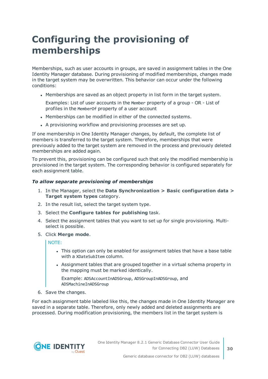## <span id="page-29-0"></span>**Configuring the provisioning of memberships**

Memberships, such as user accounts in groups, are saved in assignment tables in the One Identity Manager database. During provisioning of modified memberships, changes made in the target system may be overwritten. This behavior can occur under the following conditions:

• Memberships are saved as an object property in list form in the target system.

Examples: List of user accounts in the Member property of a group - OR - List of profiles in the MemberOf property of a user account

- Memberships can be modified in either of the connected systems.
- A provisioning workflow and provisioning processes are set up.

If one membership in One Identity Manager changes, by default, the complete list of members is transferred to the target system. Therefore, memberships that were previously added to the target system are removed in the process and previously deleted memberships are added again.

To prevent this, provisioning can be configured such that only the modified membership is provisioned in the target system. The corresponding behavior is configured separately for each assignment table.

#### *To allow separate provisioning of memberships*

- 1. In the Manager, select the **Data Synchronization > Basic configuration data > Target system types** category.
- 2. In the result list, select the target system type.
- 3. Select the **Configure tables for publishing** task.
- 4. Select the assignment tables that you want to set up for single provisioning. Multiselect is possible.
- 5. Click **Merge mode**.

NOTE:

- This option can only be enabled for assignment tables that have a base table with a XDateSubItem column.
- Assignment tables that are grouped together in a virtual schema property in the mapping must be marked identically.

Example: ADSAccountInADSGroup, ADSGroupInADSGroup, and ADSMachineInADSGroup

6. Save the changes.

For each assignment table labeled like this, the changes made in One Identity Manager are saved in a separate table. Therefore, only newly added and deleted assignments are processed. During modification provisioning, the members list in the target system is

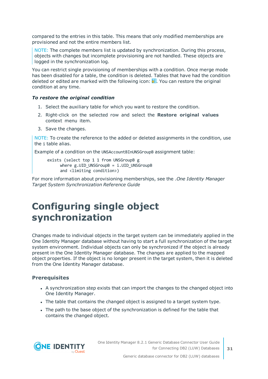compared to the entries in this table. This means that only modified memberships are provisioned and not the entire members list.

NOTE: The complete members list is updated by synchronization. During this process, objects with changes but incomplete provisioning are not handled. These objects are logged in the synchronization log.

You can restrict single provisioning of memberships with a condition. Once merge mode has been disabled for a table, the condition is deleted. Tables that have had the condition deleted or edited are marked with the following icon:  $\frac{1}{2}$ . You can restore the original condition at any time.

#### *To restore the original condition*

- 1. Select the auxiliary table for which you want to restore the condition.
- 2. Right-click on the selected row and select the **Restore original values** context menu item.
- 3. Save the changes.

NOTE: To create the reference to the added or deleted assignments in the condition, use the i table alias.

Example of a condition on the UNSAccountBInUNSGroupB assignment table:

exists (select top 1 1 from UNSGroupB g where  $g.UID$  UNSGroupB = i.UID UNSGroupB and <limiting condition>)

For more information about provisioning memberships, see the .*One Identity Manager Target System Synchronization Reference Guide*

### <span id="page-30-0"></span>**Configuring single object synchronization**

Changes made to individual objects in the target system can be immediately applied in the One Identity Manager database without having to start a full synchronization of the target system environment. Individual objects can only be synchronized if the object is already present in the One Identity Manager database. The changes are applied to the mapped object properties. If the object is no longer present in the target system, then it is deleted from the One Identity Manager database.

#### **Prerequisites**

- A synchronization step exists that can import the changes to the changed object into One Identity Manager.
- The table that contains the changed object is assigned to a target system type.
- The path to the base object of the synchronization is defined for the table that contains the changed object.

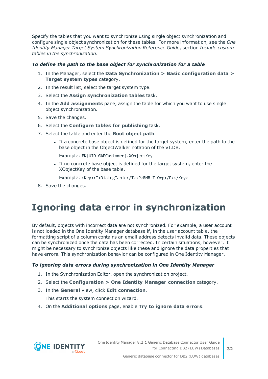Specify the tables that you want to synchronize using single object synchronization and configure single object synchronization for these tables. For more information, see the *One Identity Manager Target System Synchronization Reference Guide*, section *Include custom tables in the synchronization*.

#### *To define the path to the base object for synchronization for a table*

- 1. In the Manager, select the **Data Synchronization > Basic configuration data > Target system types** category.
- 2. In the result list, select the target system type.
- 3. Select the **Assign synchronization tables** task.
- 4. In the **Add assignments** pane, assign the table for which you want to use single object synchronization.
- 5. Save the changes.
- 6. Select the **Configure tables for publishing** task.
- 7. Select the table and enter the **Root object path**.
	- <sup>l</sup> If a concrete base object is defined for the target system, enter the path to the base object in the ObjectWalker notation of the VI.DB.

Example: FK(UID\_GAPCustomer).XObjectKey

• If no concrete base object is defined for the target system, enter the XObjectKey of the base table.

Example: <Key><T>DialogTable</T><P>RMB-T-Org</P></Key>

<span id="page-31-0"></span>8. Save the changes.

## **Ignoring data error in synchronization**

By default, objects with incorrect data are not synchronized. For example, a user account is not loaded in the One Identity Manager database if, in the user account table, the formatting script of a column contains an email address detects invalid data. These objects can be synchronized once the data has been corrected. In certain situations, however, it might be necessary to synchronize objects like these and ignore the data properties that have errors. This synchronization behavior can be configured in One Identity Manager.

#### *To ignoring data errors during synchronization in One Identity Manager*

- 1. In the Synchronization Editor, open the synchronization project.
- 2. Select the **Configuration > One Identity Manager connection** category.
- 3. In the **General** view, click **Edit connection**.

This starts the system connection wizard.

4. On the **Additional options** page, enable **Try to ignore data errors**.

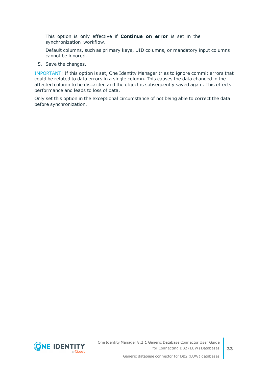This option is only effective if **Continue on error** is set in the synchronization workflow.

Default columns, such as primary keys, UID columns, or mandatory input columns cannot be ignored.

5. Save the changes.

IMPORTANT: If this option is set, One Identity Manager tries to ignore commit errors that could be related to data errors in a single column. This causes the data changed in the affected column to be discarded and the object is subsequently saved again. This effects performance and leads to loss of data.

Only set this option in the exceptional circumstance of not being able to correct the data before synchronization.

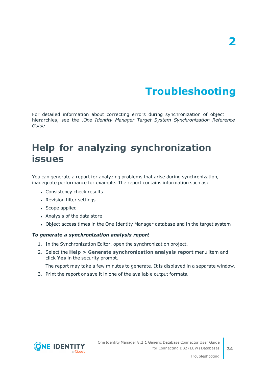# **Troubleshooting**

<span id="page-33-0"></span>For detailed information about correcting errors during synchronization of object hierarchies, see the .*One Identity Manager Target System Synchronization Reference Guide*

## <span id="page-33-1"></span>**Help for analyzing synchronization issues**

You can generate a report for analyzing problems that arise during synchronization, inadequate performance for example. The report contains information such as:

- Consistency check results
- Revision filter settings
- Scope applied
- Analysis of the data store
- Object access times in the One Identity Manager database and in the target system

#### *To generate a synchronization analysis report*

- 1. In the Synchronization Editor, open the synchronization project.
- 2. Select the **Help > Generate synchronization analysis report** menu item and click **Yes** in the security prompt.

The report may take a few minutes to generate. It is displayed in a separate window.

3. Print the report or save it in one of the available output formats.

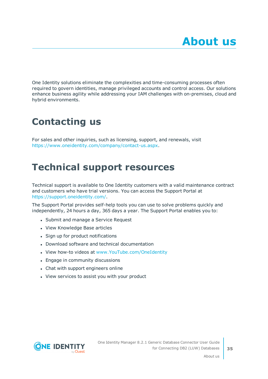<span id="page-34-0"></span>One Identity solutions eliminate the complexities and time-consuming processes often required to govern identities, manage privileged accounts and control access. Our solutions enhance business agility while addressing your IAM challenges with on-premises, cloud and hybrid environments.

## <span id="page-34-1"></span>**Contacting us**

For sales and other inquiries, such as licensing, support, and renewals, visit <https://www.oneidentity.com/company/contact-us.aspx>.

## <span id="page-34-2"></span>**Technical support resources**

Technical support is available to One Identity customers with a valid maintenance contract and customers who have trial versions. You can access the Support Portal at [https://support.oneidentity.com/.](https://support.oneidentity.com/)

The Support Portal provides self-help tools you can use to solve problems quickly and independently, 24 hours a day, 365 days a year. The Support Portal enables you to:

- Submit and manage a Service Request
- View Knowledge Base articles
- Sign up for product notifications
- Download software and technical documentation
- View how-to videos at [www.YouTube.com/OneIdentity](http://www.youtube.com/OneIdentity)
- Engage in community discussions
- Chat with support engineers online
- View services to assist you with your product



About us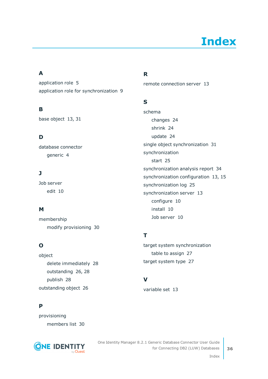# **Index**

### <span id="page-35-0"></span>**A**

application role [5](#page-4-0) application role for synchronization [9](#page-8-0)

### **B**

base object [13](#page-12-0), [31](#page-30-0)

### **D**

database connector generic [4](#page-3-0)

### **J**

Job server edit [10](#page-9-0)

### **M**

membership modify provisioning [30](#page-29-0)

### **O**

object delete immediately [28](#page-27-0) outstanding [26](#page-25-0), [28](#page-27-0) publish [28](#page-27-0) outstanding object [26](#page-25-0)

### **P**

provisioning members list [30](#page-29-0)



### **R**

remote connection server [13](#page-12-0)

### **S**

schema changes [24](#page-23-0) shrink [24](#page-23-0) update [24](#page-23-0) single object synchronization [31](#page-30-0) synchronization start [25](#page-24-0) synchronization analysis report [34](#page-33-1) synchronization configuration [13](#page-12-0), [15](#page-14-0) synchronization log [25](#page-24-1) synchronization server [13](#page-12-0) configure [10](#page-9-0) install [10](#page-9-0) Job server [10](#page-9-0)

### **T**

target system synchronization table to assign [27](#page-26-0) target system type [27](#page-26-0)

### **V**

variable set [13](#page-12-0)

Index